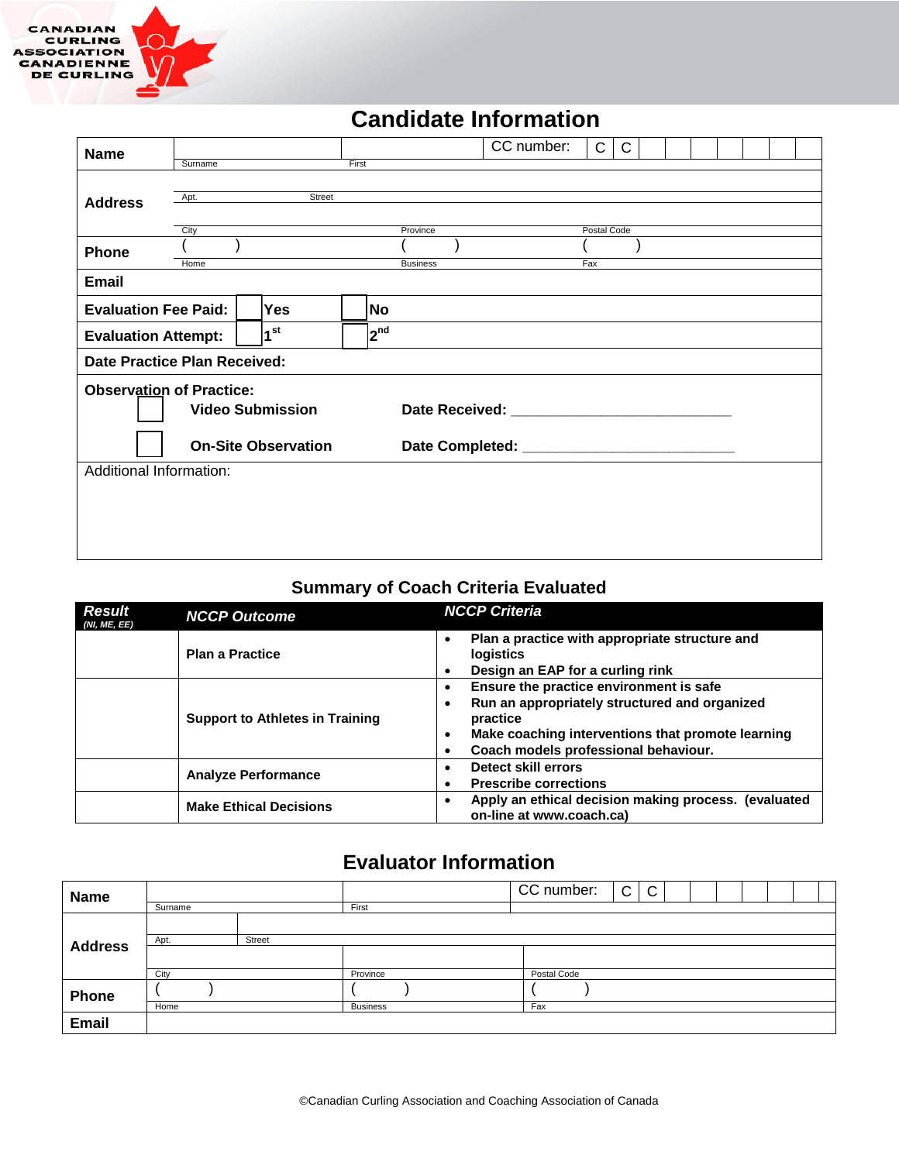

# **Candidate Information**

| <b>Name</b>                                                      | Surname                                                                                                                                                                                                                                                                                                                    |        | First |                 | CC number: | C           | $\mathsf{C}$ |  |  |  |  |
|------------------------------------------------------------------|----------------------------------------------------------------------------------------------------------------------------------------------------------------------------------------------------------------------------------------------------------------------------------------------------------------------------|--------|-------|-----------------|------------|-------------|--------------|--|--|--|--|
| <b>Address</b>                                                   | Apt.<br>City                                                                                                                                                                                                                                                                                                               | Street |       | Province        |            | Postal Code |              |  |  |  |  |
| Phone                                                            | Home                                                                                                                                                                                                                                                                                                                       |        |       | <b>Business</b> |            | Fax         |              |  |  |  |  |
| <b>Email</b>                                                     |                                                                                                                                                                                                                                                                                                                            |        |       |                 |            |             |              |  |  |  |  |
| <b>Evaluation Fee Paid:</b><br><b>Yes</b><br>No                  |                                                                                                                                                                                                                                                                                                                            |        |       |                 |            |             |              |  |  |  |  |
| 1 <sup>st</sup><br>2 <sup>nd</sup><br><b>Evaluation Attempt:</b> |                                                                                                                                                                                                                                                                                                                            |        |       |                 |            |             |              |  |  |  |  |
| <b>Date Practice Plan Received:</b>                              |                                                                                                                                                                                                                                                                                                                            |        |       |                 |            |             |              |  |  |  |  |
|                                                                  | <b>Observation of Practice:</b><br><b>Video Submission</b><br>Date Received: Networks and the set of the set of the set of the set of the set of the set of the set of the set of the set of the set of the set of the set of the set of the set of the set of the set of the set of the set<br><b>On-Site Observation</b> |        |       |                 |            |             |              |  |  |  |  |
|                                                                  | Additional Information:                                                                                                                                                                                                                                                                                                    |        |       |                 |            |             |              |  |  |  |  |
|                                                                  |                                                                                                                                                                                                                                                                                                                            |        |       |                 |            |             |              |  |  |  |  |

### **Summary of Coach Criteria Evaluated**

| <b>Result</b><br>(NI, ME, EE) | <b>NCCP Outcome</b>                    | <b>NCCP Criteria</b>                                                                                                                                                                                                     |
|-------------------------------|----------------------------------------|--------------------------------------------------------------------------------------------------------------------------------------------------------------------------------------------------------------------------|
|                               | <b>Plan a Practice</b>                 | Plan a practice with appropriate structure and<br>$\bullet$<br><b>logistics</b><br>Design an EAP for a curling rink<br>٠                                                                                                 |
|                               | <b>Support to Athletes in Training</b> | Ensure the practice environment is safe<br>$\bullet$<br>Run an appropriately structured and organized<br>٠<br>practice<br>Make coaching interventions that promote learning<br>٠<br>Coach models professional behaviour. |
|                               | <b>Analyze Performance</b>             | Detect skill errors<br>٠<br><b>Prescribe corrections</b><br>٠                                                                                                                                                            |
|                               | <b>Make Ethical Decisions</b>          | Apply an ethical decision making process. (evaluated<br>٠<br>on-line at www.coach.ca)                                                                                                                                    |

## **Evaluator Information**

| <b>Name</b>    |         |               |                 |  | CC number:  | $\mathsf{C}$ | C |  |  |  |
|----------------|---------|---------------|-----------------|--|-------------|--------------|---|--|--|--|
|                | Surname |               | First           |  |             |              |   |  |  |  |
|                |         |               |                 |  |             |              |   |  |  |  |
| <b>Address</b> | Apt.    | <b>Street</b> |                 |  |             |              |   |  |  |  |
|                | City    |               | Province        |  | Postal Code |              |   |  |  |  |
| Phone          |         |               |                 |  |             |              |   |  |  |  |
|                | Home    |               | <b>Business</b> |  | Fax         |              |   |  |  |  |
| <b>Email</b>   |         |               |                 |  |             |              |   |  |  |  |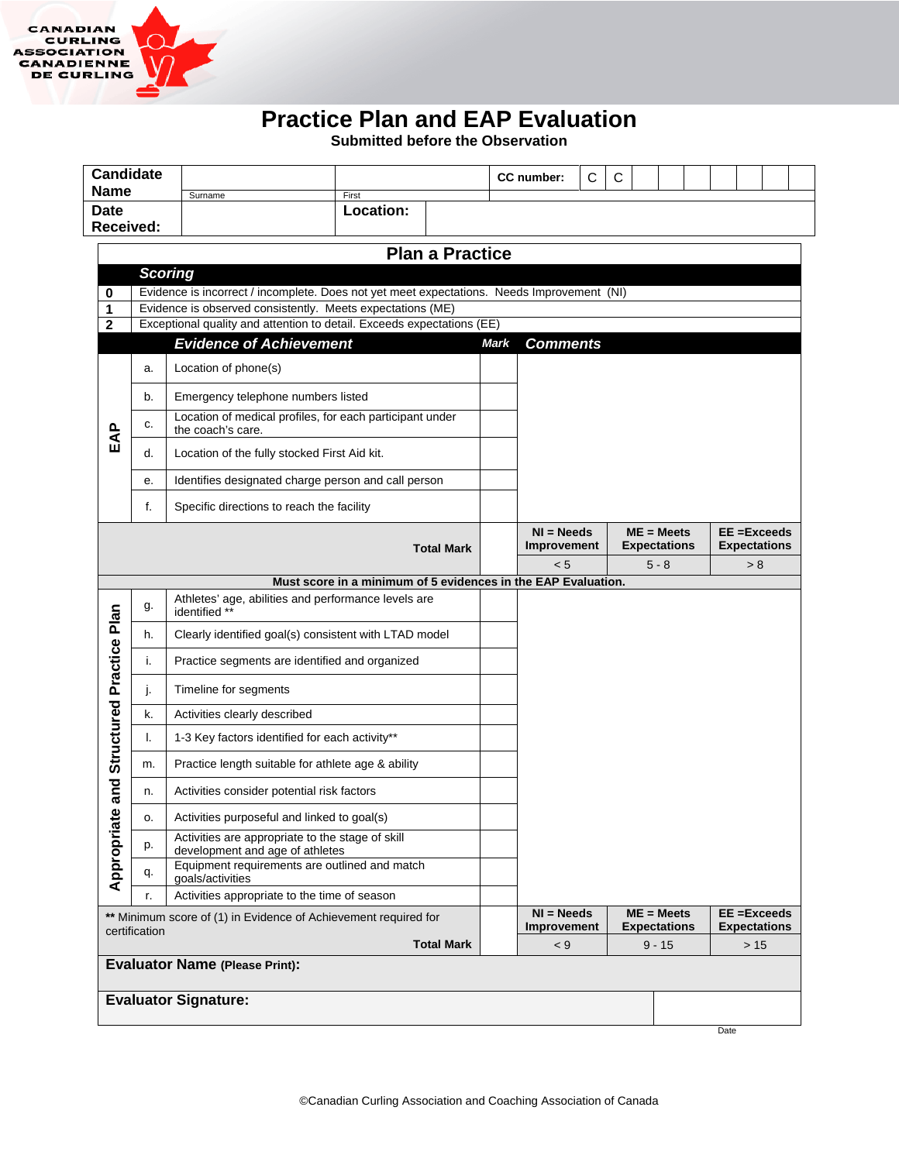

# **Practice Plan and EAP Evaluation**

**Submitted before the Observation**

| <b>Name</b>                                                                      |  | <b>Candidate</b> | Surname                                                                                                                                                  | First                                                         |                        |             | CC number:                  | $\mathsf{C}$ | C |                                     |                                       |  |
|----------------------------------------------------------------------------------|--|------------------|----------------------------------------------------------------------------------------------------------------------------------------------------------|---------------------------------------------------------------|------------------------|-------------|-----------------------------|--------------|---|-------------------------------------|---------------------------------------|--|
| <b>Date</b>                                                                      |  | Received:        |                                                                                                                                                          | Location:                                                     |                        |             |                             |              |   |                                     |                                       |  |
|                                                                                  |  |                  |                                                                                                                                                          |                                                               | <b>Plan a Practice</b> |             |                             |              |   |                                     |                                       |  |
| <b>Scoring</b>                                                                   |  |                  |                                                                                                                                                          |                                                               |                        |             |                             |              |   |                                     |                                       |  |
| 0<br>1                                                                           |  |                  | Evidence is incorrect / incomplete. Does not yet meet expectations. Needs Improvement (NI)<br>Evidence is observed consistently. Meets expectations (ME) |                                                               |                        |             |                             |              |   |                                     |                                       |  |
| $\overline{2}$                                                                   |  |                  | Exceptional quality and attention to detail. Exceeds expectations (EE)                                                                                   |                                                               |                        |             |                             |              |   |                                     |                                       |  |
|                                                                                  |  |                  | <b>Evidence of Achievement</b>                                                                                                                           |                                                               |                        | <b>Mark</b> | <b>Comments</b>             |              |   |                                     |                                       |  |
|                                                                                  |  | a.               | Location of phone(s)                                                                                                                                     |                                                               |                        |             |                             |              |   |                                     |                                       |  |
|                                                                                  |  | b.               | Emergency telephone numbers listed                                                                                                                       |                                                               |                        |             |                             |              |   |                                     |                                       |  |
| EAP                                                                              |  | c.               | Location of medical profiles, for each participant under<br>the coach's care.                                                                            |                                                               |                        |             |                             |              |   |                                     |                                       |  |
|                                                                                  |  | d.               | Location of the fully stocked First Aid kit.                                                                                                             |                                                               |                        |             |                             |              |   |                                     |                                       |  |
|                                                                                  |  | е.               | Identifies designated charge person and call person                                                                                                      |                                                               |                        |             |                             |              |   |                                     |                                       |  |
|                                                                                  |  | f.               | Specific directions to reach the facility                                                                                                                |                                                               |                        |             |                             |              |   |                                     |                                       |  |
|                                                                                  |  |                  |                                                                                                                                                          |                                                               | <b>Total Mark</b>      |             | $NI = Needs$<br>Improvement |              |   | $ME = Meets$<br><b>Expectations</b> | $EE = Exceeds$<br><b>Expectations</b> |  |
|                                                                                  |  |                  |                                                                                                                                                          |                                                               |                        |             | < 5                         |              |   | $5 - 8$                             | > 8                                   |  |
|                                                                                  |  |                  |                                                                                                                                                          | Must score in a minimum of 5 evidences in the EAP Evaluation. |                        |             |                             |              |   |                                     |                                       |  |
|                                                                                  |  | g.               | Athletes' age, abilities and performance levels are<br>identified **                                                                                     |                                                               |                        |             |                             |              |   |                                     |                                       |  |
|                                                                                  |  | h.               |                                                                                                                                                          | Clearly identified goal(s) consistent with LTAD model         |                        |             |                             |              |   |                                     |                                       |  |
|                                                                                  |  | i.               |                                                                                                                                                          | Practice segments are identified and organized                |                        |             |                             |              |   |                                     |                                       |  |
| Structured Practice Plan                                                         |  | j.               | Timeline for segments                                                                                                                                    |                                                               |                        |             |                             |              |   |                                     |                                       |  |
|                                                                                  |  | k.               | Activities clearly described                                                                                                                             |                                                               |                        |             |                             |              |   |                                     |                                       |  |
|                                                                                  |  | I.               | 1-3 Key factors identified for each activity**                                                                                                           |                                                               |                        |             |                             |              |   |                                     |                                       |  |
|                                                                                  |  | m.               | Practice length suitable for athlete age & ability                                                                                                       |                                                               |                        |             |                             |              |   |                                     |                                       |  |
| and                                                                              |  | n.               | Activities consider potential risk factors                                                                                                               |                                                               |                        |             |                             |              |   |                                     |                                       |  |
| 9                                                                                |  | o.               | Activities purposeful and linked to goal(s)                                                                                                              |                                                               |                        |             |                             |              |   |                                     |                                       |  |
|                                                                                  |  | p.               | Activities are appropriate to the stage of skill<br>development and age of athletes                                                                      |                                                               |                        |             |                             |              |   |                                     |                                       |  |
| Appropria                                                                        |  | q.               | Equipment requirements are outlined and match<br>qoals/activities                                                                                        |                                                               |                        |             |                             |              |   |                                     |                                       |  |
| Activities appropriate to the time of season<br>r.                               |  |                  |                                                                                                                                                          |                                                               |                        |             |                             |              |   |                                     |                                       |  |
| ** Minimum score of (1) in Evidence of Achievement required for<br>certification |  |                  |                                                                                                                                                          |                                                               |                        |             | $NI = Needs$<br>Improvement |              |   | $ME = Meets$<br><b>Expectations</b> | $EE = Exceeds$<br><b>Expectations</b> |  |
| <b>Total Mark</b>                                                                |  |                  |                                                                                                                                                          |                                                               |                        |             | < 9                         |              |   | $9 - 15$                            | $>15$                                 |  |
|                                                                                  |  |                  | <b>Evaluator Name (Please Print):</b>                                                                                                                    |                                                               |                        |             |                             |              |   |                                     |                                       |  |
|                                                                                  |  |                  | <b>Evaluator Signature:</b>                                                                                                                              |                                                               |                        |             |                             |              |   |                                     |                                       |  |
|                                                                                  |  |                  |                                                                                                                                                          |                                                               |                        |             |                             |              |   |                                     |                                       |  |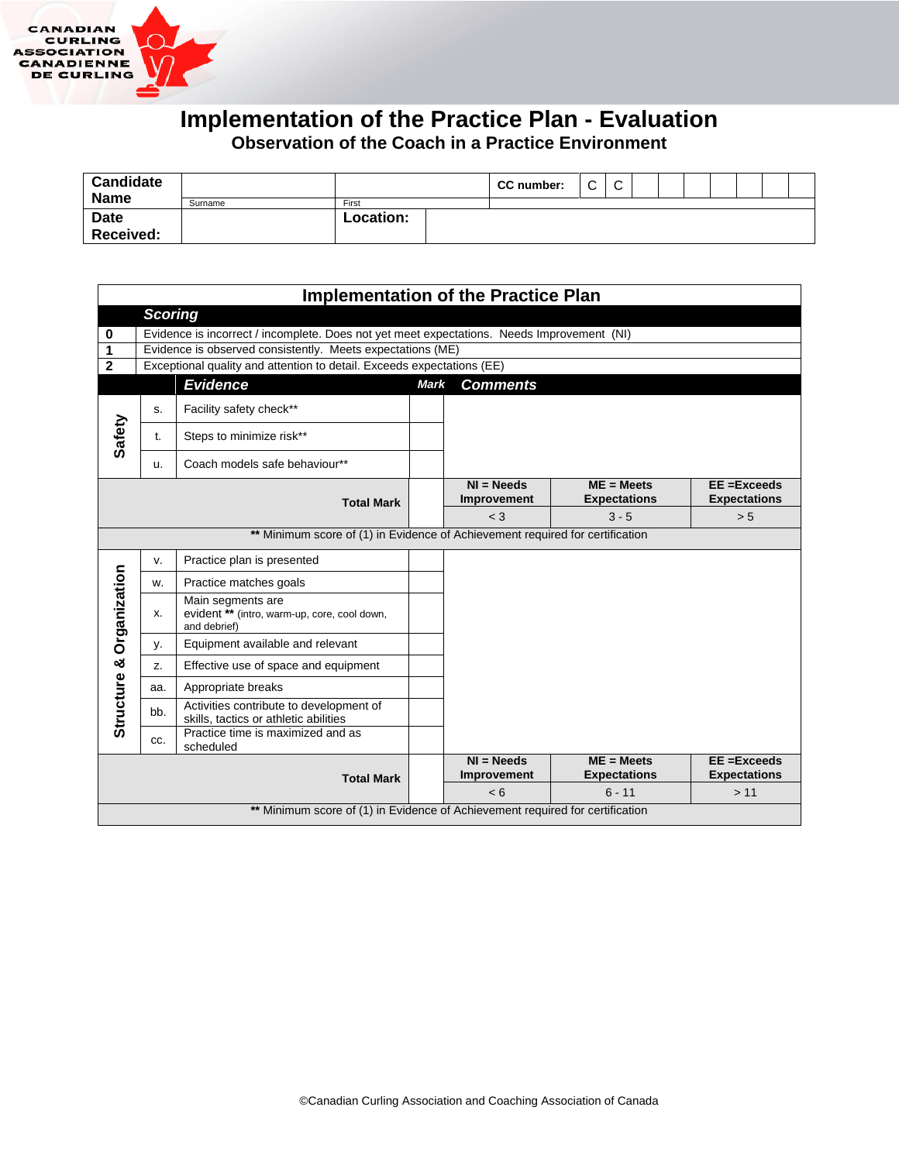

# **Implementation of the Practice Plan - Evaluation**

**Observation of the Coach in a Practice Environment**

| <b>Candidate</b><br><b>Name</b> |         |           | CC number: | $\sim$<br>◡ | $\sim$<br>◡ |  |  |  |  |
|---------------------------------|---------|-----------|------------|-------------|-------------|--|--|--|--|
|                                 | Surname | First     |            |             |             |  |  |  |  |
| <b>Date</b>                     |         | Location: |            |             |             |  |  |  |  |
| Received:                       |         |           |            |             |             |  |  |  |  |

|                                                   | <b>Implementation of the Practice Plan</b> |                                                                                            |  |                             |                                     |                                       |  |  |  |  |  |
|---------------------------------------------------|--------------------------------------------|--------------------------------------------------------------------------------------------|--|-----------------------------|-------------------------------------|---------------------------------------|--|--|--|--|--|
|                                                   | <b>Scoring</b>                             |                                                                                            |  |                             |                                     |                                       |  |  |  |  |  |
| 0                                                 |                                            | Evidence is incorrect / incomplete. Does not yet meet expectations. Needs Improvement (NI) |  |                             |                                     |                                       |  |  |  |  |  |
| 1                                                 |                                            | Evidence is observed consistently. Meets expectations (ME)                                 |  |                             |                                     |                                       |  |  |  |  |  |
| $\mathbf{2}$                                      |                                            | Exceptional quality and attention to detail. Exceeds expectations (EE)                     |  |                             |                                     |                                       |  |  |  |  |  |
| <b>Evidence</b><br><b>Mark</b><br><b>Comments</b> |                                            |                                                                                            |  |                             |                                     |                                       |  |  |  |  |  |
|                                                   | s.                                         | Facility safety check**                                                                    |  |                             |                                     |                                       |  |  |  |  |  |
| Safety                                            | t.                                         | Steps to minimize risk**                                                                   |  |                             |                                     |                                       |  |  |  |  |  |
|                                                   | u.                                         | Coach models safe behaviour**                                                              |  |                             |                                     |                                       |  |  |  |  |  |
|                                                   |                                            | <b>Total Mark</b>                                                                          |  | $NI = Needs$<br>Improvement | $ME = Meets$<br><b>Expectations</b> | EE = Exceeds<br><b>Expectations</b>   |  |  |  |  |  |
|                                                   |                                            |                                                                                            |  | $<$ 3                       | $3 - 5$                             | > 5                                   |  |  |  |  |  |
|                                                   |                                            | ** Minimum score of (1) in Evidence of Achievement required for certification              |  |                             |                                     |                                       |  |  |  |  |  |
|                                                   | v.                                         | Practice plan is presented                                                                 |  |                             |                                     |                                       |  |  |  |  |  |
|                                                   | W.                                         | Practice matches goals                                                                     |  |                             |                                     |                                       |  |  |  |  |  |
| Structure & Organization                          | x.                                         | Main segments are<br>evident ** (intro, warm-up, core, cool down,<br>and debrief)          |  |                             |                                     |                                       |  |  |  |  |  |
|                                                   | у.                                         | Equipment available and relevant                                                           |  |                             |                                     |                                       |  |  |  |  |  |
|                                                   | Z.                                         | Effective use of space and equipment                                                       |  |                             |                                     |                                       |  |  |  |  |  |
|                                                   | aa.                                        | Appropriate breaks                                                                         |  |                             |                                     |                                       |  |  |  |  |  |
|                                                   | bb.                                        | Activities contribute to development of<br>skills, tactics or athletic abilities           |  |                             |                                     |                                       |  |  |  |  |  |
|                                                   | CC.                                        | Practice time is maximized and as<br>scheduled                                             |  |                             |                                     |                                       |  |  |  |  |  |
|                                                   |                                            | <b>Total Mark</b>                                                                          |  | $NI = Needs$<br>Improvement | $ME = Meets$<br><b>Expectations</b> | $EE = Exceeds$<br><b>Expectations</b> |  |  |  |  |  |
|                                                   |                                            |                                                                                            |  | < 6                         | $6 - 11$                            | > 11                                  |  |  |  |  |  |
|                                                   |                                            | ** Minimum score of (1) in Evidence of Achievement required for certification              |  |                             |                                     |                                       |  |  |  |  |  |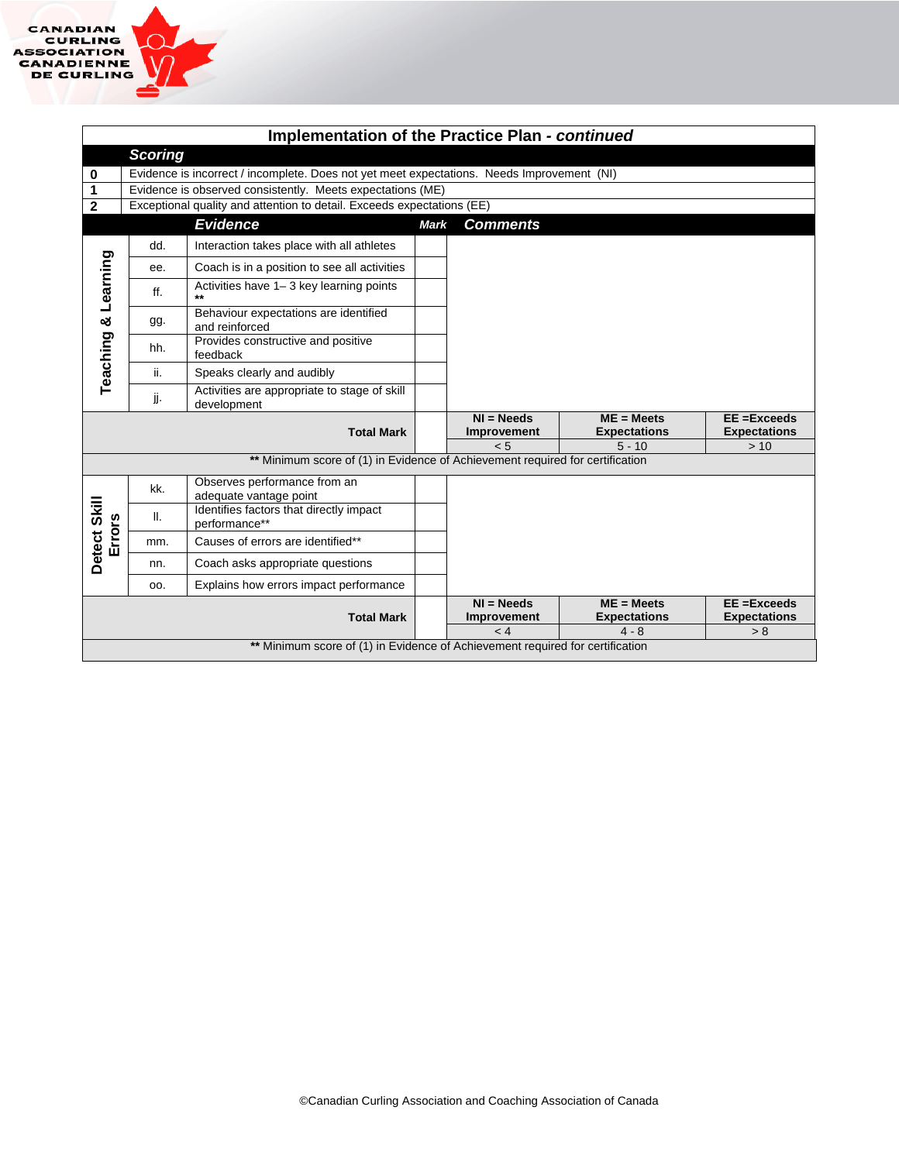|                        | Implementation of the Practice Plan - continued |                                                                                            |             |                                         |                                                 |                                            |  |  |  |  |
|------------------------|-------------------------------------------------|--------------------------------------------------------------------------------------------|-------------|-----------------------------------------|-------------------------------------------------|--------------------------------------------|--|--|--|--|
|                        | <b>Scoring</b>                                  |                                                                                            |             |                                         |                                                 |                                            |  |  |  |  |
| 0                      |                                                 | Evidence is incorrect / incomplete. Does not yet meet expectations. Needs Improvement (NI) |             |                                         |                                                 |                                            |  |  |  |  |
| 1                      |                                                 | Evidence is observed consistently. Meets expectations (ME)                                 |             |                                         |                                                 |                                            |  |  |  |  |
| $\mathbf{2}$           |                                                 | Exceptional quality and attention to detail. Exceeds expectations (EE)                     |             |                                         |                                                 |                                            |  |  |  |  |
|                        |                                                 | <b>Evidence</b>                                                                            | <b>Mark</b> | <b>Comments</b>                         |                                                 |                                            |  |  |  |  |
|                        | dd.                                             | Interaction takes place with all athletes                                                  |             |                                         |                                                 |                                            |  |  |  |  |
|                        | ee.                                             | Coach is in a position to see all activities                                               |             |                                         |                                                 |                                            |  |  |  |  |
|                        | ff.                                             | Activities have 1-3 key learning points                                                    |             |                                         |                                                 |                                            |  |  |  |  |
|                        | gg.                                             | Behaviour expectations are identified<br>and reinforced                                    |             |                                         |                                                 |                                            |  |  |  |  |
| Teaching & Learning    | hh.                                             | Provides constructive and positive<br>feedback                                             |             |                                         |                                                 |                                            |  |  |  |  |
|                        | ii.                                             | Speaks clearly and audibly                                                                 |             |                                         |                                                 |                                            |  |  |  |  |
|                        | jj.                                             | Activities are appropriate to stage of skill<br>development                                |             |                                         |                                                 |                                            |  |  |  |  |
|                        |                                                 | <b>Total Mark</b>                                                                          |             | $NI = Needs$<br>Improvement<br>< 5      | $ME = Meets$<br><b>Expectations</b><br>$5 - 10$ | EE =Exceeds<br><b>Expectations</b><br>> 10 |  |  |  |  |
|                        |                                                 | ** Minimum score of (1) in Evidence of Achievement required for certification              |             |                                         |                                                 |                                            |  |  |  |  |
|                        | kk.                                             | Observes performance from an<br>adequate vantage point                                     |             |                                         |                                                 |                                            |  |  |  |  |
| Detect Skill<br>Errors | Ш.                                              | Identifies factors that directly impact<br>performance**                                   |             |                                         |                                                 |                                            |  |  |  |  |
|                        | mm.                                             | Causes of errors are identified**                                                          |             |                                         |                                                 |                                            |  |  |  |  |
|                        | nn.                                             | Coach asks appropriate questions                                                           |             |                                         |                                                 |                                            |  |  |  |  |
|                        | OO.                                             | Explains how errors impact performance                                                     |             |                                         |                                                 |                                            |  |  |  |  |
|                        |                                                 | <b>Total Mark</b>                                                                          |             | $NI = Needs$<br>Improvement<br>$\leq 4$ | $ME = Meets$<br><b>Expectations</b><br>$4 - 8$  | EE =Exceeds<br><b>Expectations</b><br>> 8  |  |  |  |  |
|                        |                                                 | ** Minimum score of (1) in Evidence of Achievement required for certification              |             |                                         |                                                 |                                            |  |  |  |  |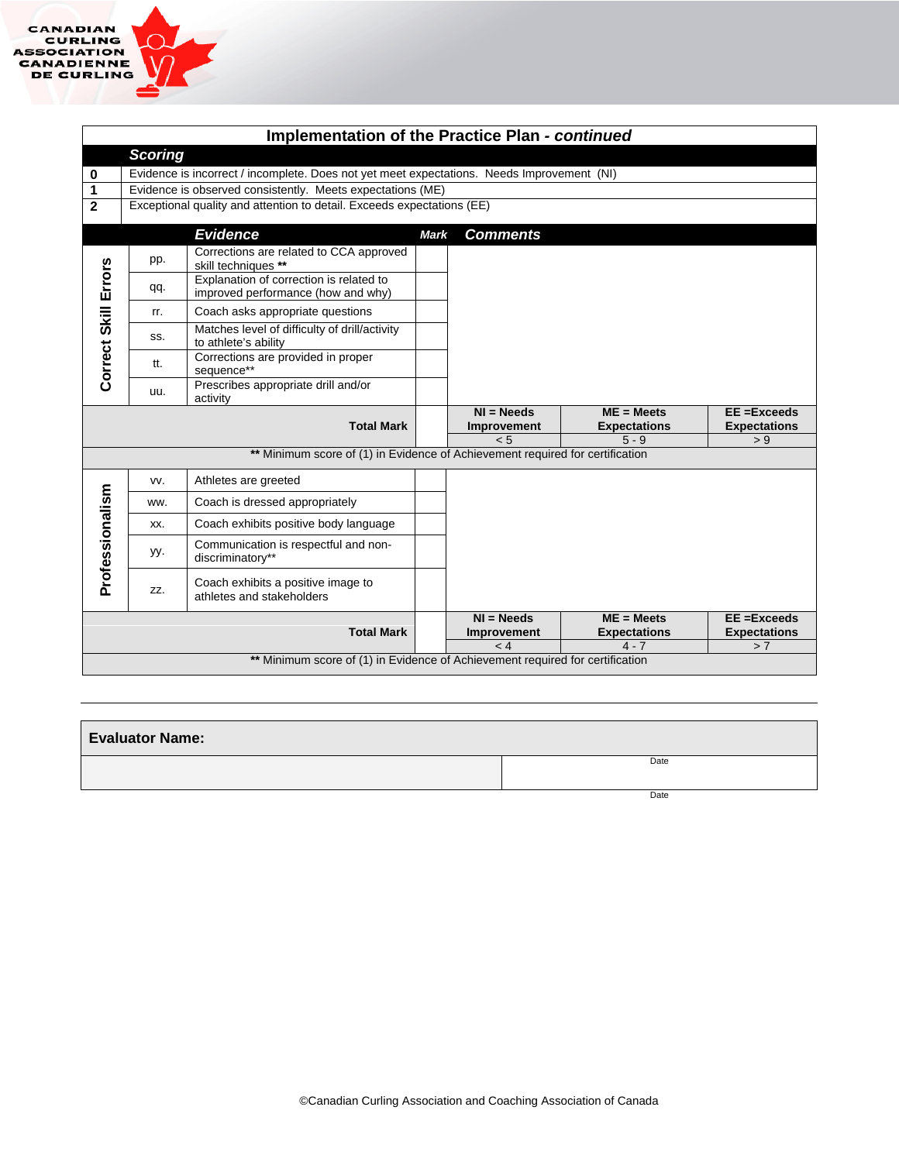|                      | Implementation of the Practice Plan - continued |                                                                                            |             |                             |                                     |                                     |  |  |  |  |
|----------------------|-------------------------------------------------|--------------------------------------------------------------------------------------------|-------------|-----------------------------|-------------------------------------|-------------------------------------|--|--|--|--|
|                      | <b>Scoring</b>                                  |                                                                                            |             |                             |                                     |                                     |  |  |  |  |
| 0                    |                                                 | Evidence is incorrect / incomplete. Does not yet meet expectations. Needs Improvement (NI) |             |                             |                                     |                                     |  |  |  |  |
| 1                    |                                                 | Evidence is observed consistently. Meets expectations (ME)                                 |             |                             |                                     |                                     |  |  |  |  |
| $\overline{2}$       |                                                 | Exceptional quality and attention to detail. Exceeds expectations (EE)                     |             |                             |                                     |                                     |  |  |  |  |
|                      |                                                 | <b>Evidence</b>                                                                            | <b>Mark</b> | <b>Comments</b>             |                                     |                                     |  |  |  |  |
|                      | pp.                                             | Corrections are related to CCA approved<br>skill techniques **                             |             |                             |                                     |                                     |  |  |  |  |
|                      | qq.                                             | Explanation of correction is related to<br>improved performance (how and why)              |             |                             |                                     |                                     |  |  |  |  |
|                      | rr.                                             | Coach asks appropriate questions                                                           |             |                             |                                     |                                     |  |  |  |  |
| Correct Skill Errors | SS.                                             | Matches level of difficulty of drill/activity<br>to athlete's ability                      |             |                             |                                     |                                     |  |  |  |  |
|                      | tt.                                             | Corrections are provided in proper<br>sequence**                                           |             |                             |                                     |                                     |  |  |  |  |
|                      | uu.                                             | Prescribes appropriate drill and/or<br>activity                                            |             |                             |                                     |                                     |  |  |  |  |
|                      |                                                 | <b>Total Mark</b>                                                                          |             | $NI = Needs$<br>Improvement | $ME = Meets$<br><b>Expectations</b> | EE = Exceeds<br><b>Expectations</b> |  |  |  |  |
|                      |                                                 | ** Minimum score of (1) in Evidence of Achievement required for certification              |             | < 5                         | $5 - 9$                             | > 9                                 |  |  |  |  |
|                      |                                                 |                                                                                            |             |                             |                                     |                                     |  |  |  |  |
|                      | VV.                                             | Athletes are greeted                                                                       |             |                             |                                     |                                     |  |  |  |  |
|                      | ww.                                             | Coach is dressed appropriately                                                             |             |                             |                                     |                                     |  |  |  |  |
|                      | XX.                                             | Coach exhibits positive body language                                                      |             |                             |                                     |                                     |  |  |  |  |
| Professionalism      | yy.                                             | Communication is respectful and non-<br>discriminatory**                                   |             |                             |                                     |                                     |  |  |  |  |
|                      | ZZ.                                             | Coach exhibits a positive image to<br>athletes and stakeholders                            |             |                             |                                     |                                     |  |  |  |  |
|                      |                                                 | <b>Total Mark</b>                                                                          |             | $NI = Needs$<br>Improvement | $ME = Meets$<br><b>Expectations</b> | EE = Exceeds<br><b>Expectations</b> |  |  |  |  |
|                      | $4 - 7$<br>$\lt 4$<br>> 7                       |                                                                                            |             |                             |                                     |                                     |  |  |  |  |
|                      |                                                 | ** Minimum score of (1) in Evidence of Achievement required for certification              |             |                             |                                     |                                     |  |  |  |  |

| <b>Evaluator Name:</b> |      |
|------------------------|------|
|                        | Date |
|                        |      |
|                        |      |
|                        | Date |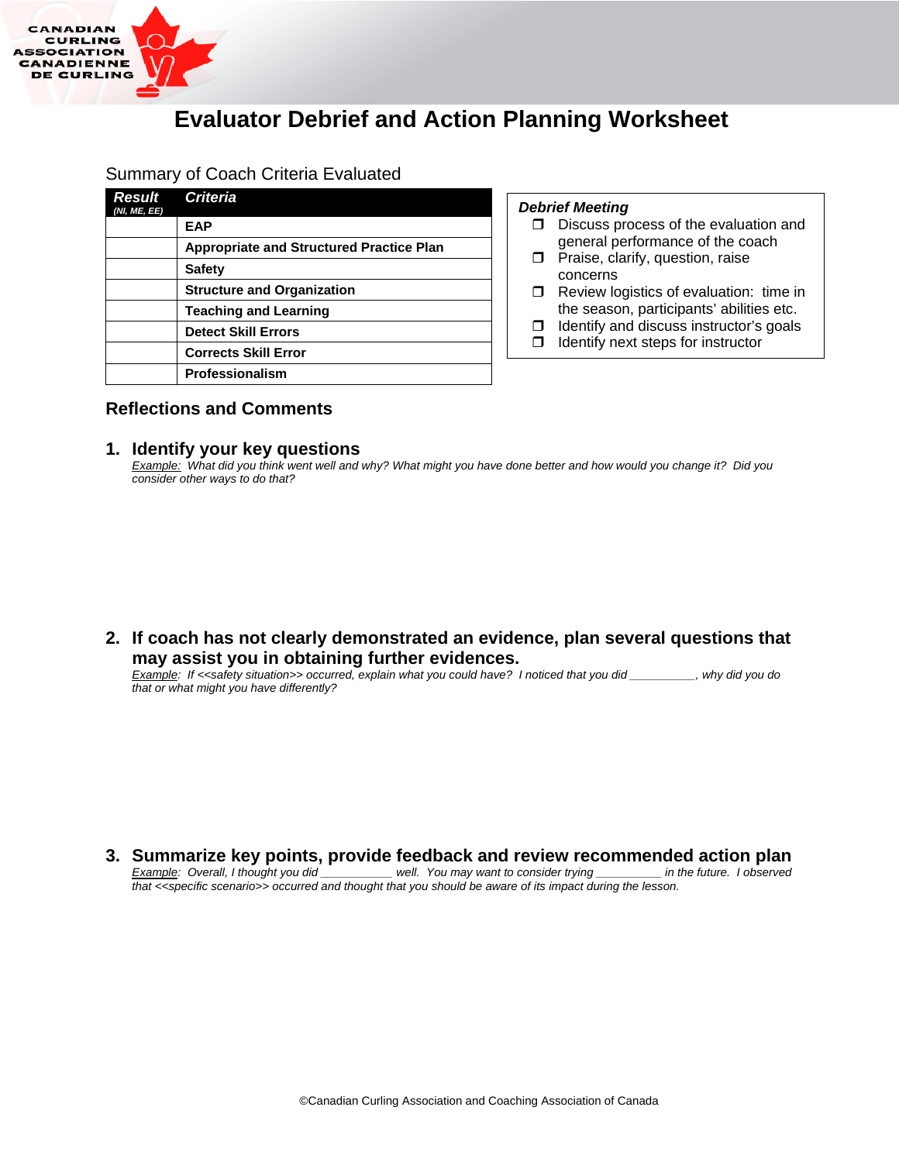

## **Evaluator Debrief and Action Planning Worksheet**

#### Summary of Coach Criteria Evaluated

| Result<br>(NI, ME, EE) | <b>Criteria</b>                                 |
|------------------------|-------------------------------------------------|
|                        | <b>EAP</b>                                      |
|                        | <b>Appropriate and Structured Practice Plan</b> |
|                        | <b>Safety</b>                                   |
|                        | <b>Structure and Organization</b>               |
|                        | <b>Teaching and Learning</b>                    |
|                        | <b>Detect Skill Errors</b>                      |
|                        | <b>Corrects Skill Error</b>                     |
|                        | Professionalism                                 |

#### *Debrief Meeting*

- $\square$  Discuss process of the evaluation and general performance of the coach
- $\Box$  Praise, clarify, question, raise concerns
- $\Box$  Review logistics of evaluation: time in the season, participants' abilities etc.
- $\Box$  Identify and discuss instructor's goals
- $\Box$  Identify next steps for instructor

#### **Reflections and Comments**

#### **1. Identify your key questions**

*Example: What did you think went well and why? What might you have done better and how would you change it? Did you consider other ways to do that?*

**2. If coach has not clearly demonstrated an evidence, plan several questions that may assist you in obtaining further evidences.**

*Example: If <<safety situation>> occurred, explain what you could have? I noticed that you did \_\_\_\_\_\_\_\_\_\_, why did you do that or what might you have differently?*

#### **3. Summarize key points, provide feedback and review recommended action plan** *Example: Overall, I thought you did interention well. You may want to consider trying \_\_\_\_\_\_\_\_ in the future. I observed Example: Overall, I thought you did \_\_\_ that <<specific scenario>> occurred and thought that you should be aware of its impact during the lesson.*